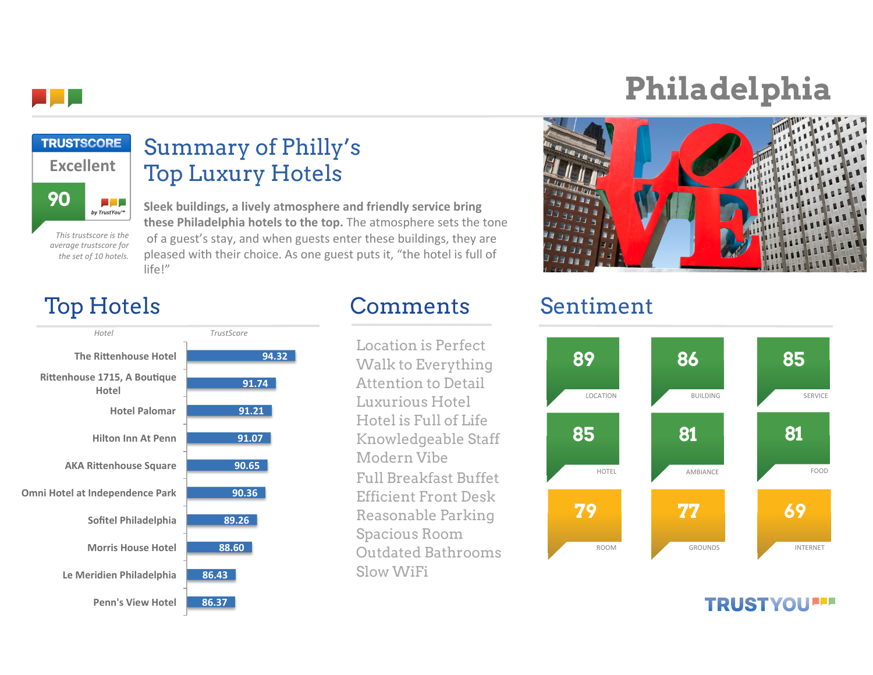

**90**

**Excellent**

**TRUSTSCORE** 

# **Philadelphia**



## Top Hotels Comments Sentiment

**This trustscore is the** *average%trustscore%for%* the set of 10 hotels.

المراجع by TrustYou™



life!"

Summary of Philly's

Sleek buildings, a lively atmosphere and friendly service bring **these Philadelphia hotels to the top.** The atmosphere sets the tone of a guest's stay, and when guests enter these buildings, they are pleased with their choice. As one guest puts it, "the hotel is full of

Top Luxury Hotels

Location is Perfect Walk to Everything Attention to Detail Luxurious Hotel Hotel is Full of Life Knowledgeable Staff Modern Vibe Full Breakfast Buffet Efficient Front Desk Reasonable Parking Spacious Room Outdated Bathrooms Slow WiFi



### **TRUSTYOU''**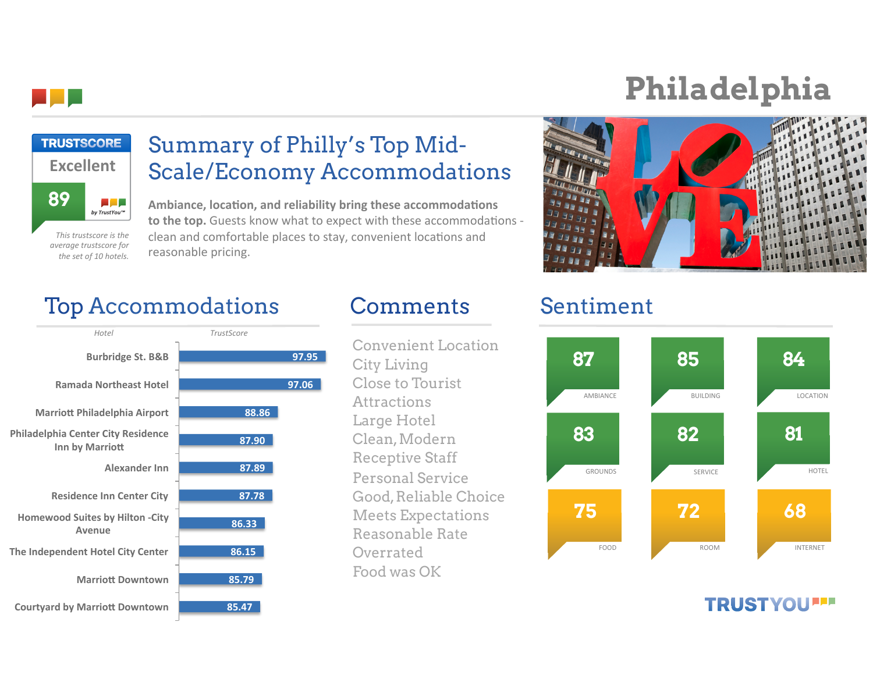

## **Philadelphia**



**This trustscore is the** *average%trustscore%for%* the set of 10 hotels.

### Summary of Philly's Top Mid-Scale/Economy Accommodations

Ambiance, location, and reliability bring these accommodations to the top. Guests know what to expect with these accommodations clean and comfortable places to stay, convenient locations and reasonable pricing.



## Top Accommodations Comments Sentiment



Convenient Location City Living Close to Tourist **Attractions** Large Hotel Clean, Modern Receptive Staff Personal Service Good, Reliable Choice Meets Expectations Reasonable Rate Overrated Food was OK



### **TRUSTYOU''**